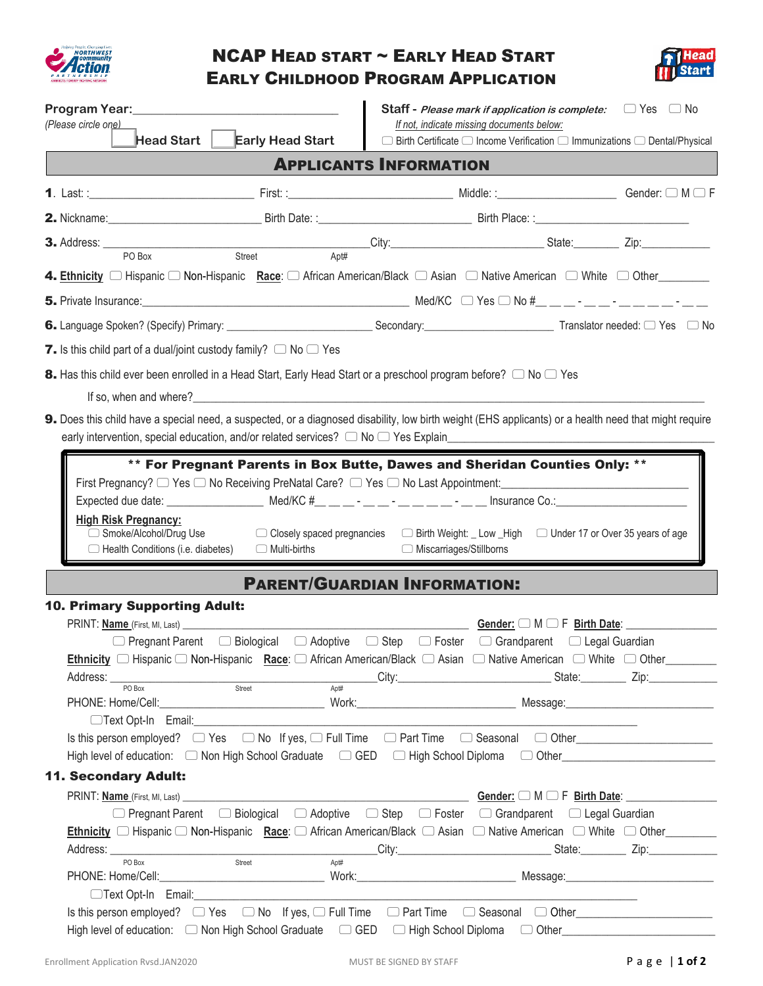

## NCAP HEAD START ~ EARLY HEAD START EARLY CHILDHOOD PROGRAM APPLICATION



|                                                                                   |                                                                                                                                                                                                                                    |                                     | <b>Staff</b> - <i>Please mark if application is complete:</i> $\Box$ Yes $\Box$ No                                                                                                                                            |  |
|-----------------------------------------------------------------------------------|------------------------------------------------------------------------------------------------------------------------------------------------------------------------------------------------------------------------------------|-------------------------------------|-------------------------------------------------------------------------------------------------------------------------------------------------------------------------------------------------------------------------------|--|
| (Please circle one)<br>Head Start $\ $                                            | <b>Early Head Start</b>                                                                                                                                                                                                            |                                     | If not, indicate missing documents below:<br>$\Box$ Birth Certificate $\Box$ Income Verification $\Box$ Immunizations $\Box$ Dental/Physical                                                                                  |  |
|                                                                                   |                                                                                                                                                                                                                                    | <b>APPLICANTS INFORMATION</b>       |                                                                                                                                                                                                                               |  |
|                                                                                   |                                                                                                                                                                                                                                    |                                     |                                                                                                                                                                                                                               |  |
|                                                                                   |                                                                                                                                                                                                                                    |                                     |                                                                                                                                                                                                                               |  |
|                                                                                   | 3. Address: <u>PO Box</u> Street City: City: City: State: Zip: Zip: Zip:                                                                                                                                                           |                                     |                                                                                                                                                                                                                               |  |
|                                                                                   |                                                                                                                                                                                                                                    |                                     |                                                                                                                                                                                                                               |  |
|                                                                                   |                                                                                                                                                                                                                                    |                                     |                                                                                                                                                                                                                               |  |
|                                                                                   |                                                                                                                                                                                                                                    |                                     |                                                                                                                                                                                                                               |  |
|                                                                                   |                                                                                                                                                                                                                                    |                                     |                                                                                                                                                                                                                               |  |
| <b>7.</b> Is this child part of a dual/joint custody family? $\Box$ No $\Box$ Yes |                                                                                                                                                                                                                                    |                                     |                                                                                                                                                                                                                               |  |
|                                                                                   | 8. Has this child ever been enrolled in a Head Start, Early Head Start or a preschool program before? $\Box$ No $\Box$ Yes                                                                                                         |                                     |                                                                                                                                                                                                                               |  |
|                                                                                   | If so, when and where?                                                                                                                                                                                                             |                                     |                                                                                                                                                                                                                               |  |
|                                                                                   | 9. Does this child have a special need, a suspected, or a diagnosed disability, low birth weight (EHS applicants) or a health need that might require                                                                              |                                     |                                                                                                                                                                                                                               |  |
|                                                                                   | early intervention, special education, and/or related services? $\Box$ No $\Box$ Yes Explain entertainment and the matter of the matter of the services of the matter of the services of the services of the services of the servi |                                     |                                                                                                                                                                                                                               |  |
| Smoke/Alcohol/Drug Use                                                            | □ Closely spaced pregnancies   □ Birth Weight: _ Low _High   □ Under 17 or Over 35 years of age<br>$\Box$ Health Conditions (i.e. diabetes) $\Box$ Multi-births                                                                    | □ Miscarriages/Stillborns           |                                                                                                                                                                                                                               |  |
|                                                                                   |                                                                                                                                                                                                                                    | <b>PARENT/GUARDIAN INFORMATION:</b> |                                                                                                                                                                                                                               |  |
| <b>10. Primary Supporting Adult:</b>                                              |                                                                                                                                                                                                                                    |                                     |                                                                                                                                                                                                                               |  |
|                                                                                   |                                                                                                                                                                                                                                    |                                     | Gender: $\Box$ M $\Box$ F Birth Date: $\Box$                                                                                                                                                                                  |  |
|                                                                                   | □ Pregnant Parent □ Biological □ Adoptive □ Step □ Foster □ Grandparent □ Legal Guardian                                                                                                                                           |                                     |                                                                                                                                                                                                                               |  |
|                                                                                   |                                                                                                                                                                                                                                    |                                     |                                                                                                                                                                                                                               |  |
|                                                                                   | Address: <u>POBox</u> Street Street City: City: State: Zip: Zip:                                                                                                                                                                   |                                     |                                                                                                                                                                                                                               |  |
|                                                                                   |                                                                                                                                                                                                                                    |                                     |                                                                                                                                                                                                                               |  |
|                                                                                   |                                                                                                                                                                                                                                    |                                     |                                                                                                                                                                                                                               |  |
|                                                                                   |                                                                                                                                                                                                                                    |                                     |                                                                                                                                                                                                                               |  |
| <b>11. Secondary Adult:</b>                                                       |                                                                                                                                                                                                                                    |                                     |                                                                                                                                                                                                                               |  |
|                                                                                   |                                                                                                                                                                                                                                    |                                     | Gender:  □ M □ F Birth Date:  □ D M □ F Birth Date:                                                                                                                                                                           |  |
|                                                                                   | □ Pregnant Parent □ Biological □ Adoptive □ Step □ Foster □ Grandparent □ Legal Guardian                                                                                                                                           |                                     |                                                                                                                                                                                                                               |  |
|                                                                                   | Ethnicity □ Hispanic □ Non-Hispanic Race: □ African American/Black □ Asian □ Native American □ White □ Other                                                                                                                       |                                     |                                                                                                                                                                                                                               |  |
| PO Box                                                                            | Street<br>Apt#                                                                                                                                                                                                                     |                                     | City: City: City: City: City: City: City: City: City: City: City: City: City: City: City: City: City: City: City: City: City: City: City: City: City: City: City: City: City: City: City: City: City: City: City: City: City: |  |
|                                                                                   |                                                                                                                                                                                                                                    |                                     |                                                                                                                                                                                                                               |  |
|                                                                                   |                                                                                                                                                                                                                                    |                                     |                                                                                                                                                                                                                               |  |
|                                                                                   |                                                                                                                                                                                                                                    |                                     |                                                                                                                                                                                                                               |  |
|                                                                                   |                                                                                                                                                                                                                                    |                                     |                                                                                                                                                                                                                               |  |